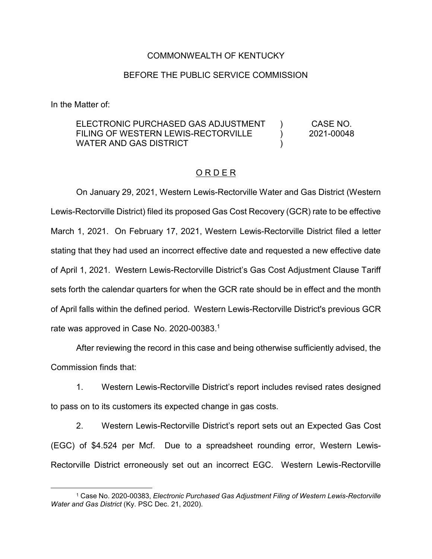## COMMONWEALTH OF KENTUCKY

## BEFORE THE PUBLIC SERVICE COMMISSION

In the Matter of:

#### ELECTRONIC PURCHASED GAS ADJUSTMENT FILING OF WESTERN LEWIS-RECTORVILLE WATER AND GAS DISTRICT  $\lambda$  $\lambda$  $\lambda$ CASE NO. 2021-00048

### O R D E R

On January 29, 2021, Western Lewis-Rectorville Water and Gas District (Western Lewis-Rectorville District) filed its proposed Gas Cost Recovery (GCR) rate to be effective March 1, 2021. On February 17, 2021, Western Lewis-Rectorville District filed a letter stating that they had used an incorrect effective date and requested a new effective date of April 1, 2021. Western Lewis-Rectorville District's Gas Cost Adjustment Clause Tariff sets forth the calendar quarters for when the GCR rate should be in effect and the month of April falls within the defined period. Western Lewis-Rectorville District's previous GCR rate was approved in Case No. 2020-00383.<sup>1</sup>

After reviewing the record in this case and being otherwise sufficiently advised, the Commission finds that:

1. Western Lewis-Rectorville District's report includes revised rates designed to pass on to its customers its expected change in gas costs.

2. Western Lewis-Rectorville District's report sets out an Expected Gas Cost (EGC) of \$4.524 per Mcf. Due to a spreadsheet rounding error, Western Lewis-Rectorville District erroneously set out an incorrect EGC. Western Lewis-Rectorville

 <sup>1</sup> Case No. 2020-00383, *Electronic Purchased Gas Adjustment Filing of Western Lewis-Rectorville Water and Gas District* (Ky. PSC Dec. 21, 2020).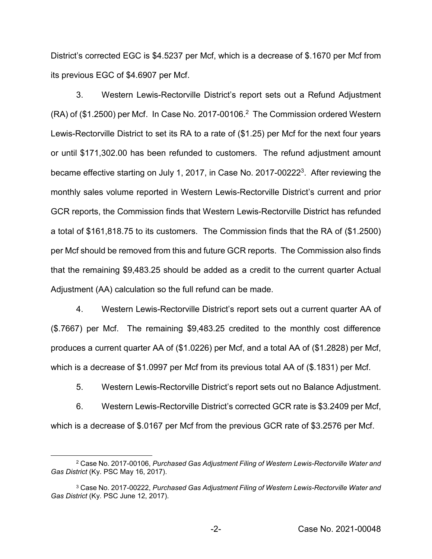District's corrected EGC is \$4.5237 per Mcf, which is a decrease of \$.1670 per Mcf from its previous EGC of \$4.6907 per Mcf.

3. Western Lewis-Rectorville District's report sets out a Refund Adjustment (RA) of (\$1.2500) per Mcf. In Case No. 2017-00106. <sup>2</sup> The Commission ordered Western Lewis-Rectorville District to set its RA to a rate of (\$1.25) per Mcf for the next four years or until \$171,302.00 has been refunded to customers. The refund adjustment amount became effective starting on July 1, 2017, in Case No. 2017-002223. After reviewing the monthly sales volume reported in Western Lewis-Rectorville District's current and prior GCR reports, the Commission finds that Western Lewis-Rectorville District has refunded a total of \$161,818.75 to its customers. The Commission finds that the RA of (\$1.2500) per Mcf should be removed from this and future GCR reports. The Commission also finds that the remaining \$9,483.25 should be added as a credit to the current quarter Actual Adjustment (AA) calculation so the full refund can be made.

4. Western Lewis-Rectorville District's report sets out a current quarter AA of (\$.7667) per Mcf. The remaining \$9,483.25 credited to the monthly cost difference produces a current quarter AA of (\$1.0226) per Mcf, and a total AA of (\$1.2828) per Mcf, which is a decrease of \$1.0997 per Mcf from its previous total AA of (\$.1831) per Mcf.

5. Western Lewis-Rectorville District's report sets out no Balance Adjustment.

6. Western Lewis-Rectorville District's corrected GCR rate is \$3.2409 per Mcf, which is a decrease of \$.0167 per Mcf from the previous GCR rate of \$3.2576 per Mcf.

 <sup>2</sup> Case No. 2017-00106, *Purchased Gas Adjustment Filing of Western Lewis-Rectorville Water and Gas District* (Ky. PSC May 16, 2017).

<sup>3</sup> Case No. 2017-00222, *Purchased Gas Adjustment Filing of Western Lewis-Rectorville Water and Gas District* (Ky. PSC June 12, 2017).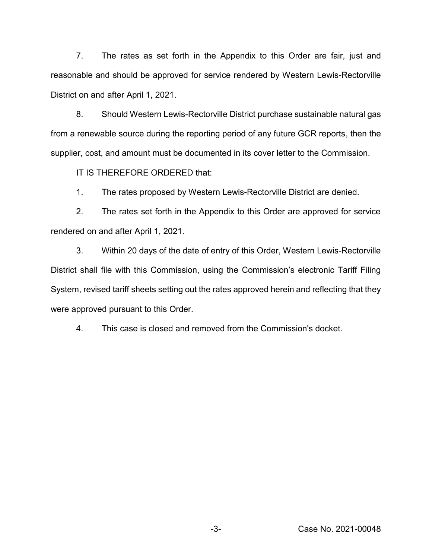7. The rates as set forth in the Appendix to this Order are fair, just and reasonable and should be approved for service rendered by Western Lewis-Rectorville District on and after April 1, 2021.

8. Should Western Lewis-Rectorville District purchase sustainable natural gas from a renewable source during the reporting period of any future GCR reports, then the supplier, cost, and amount must be documented in its cover letter to the Commission.

IT IS THEREFORE ORDERED that:

1. The rates proposed by Western Lewis-Rectorville District are denied.

2. The rates set forth in the Appendix to this Order are approved for service rendered on and after April 1, 2021.

3. Within 20 days of the date of entry of this Order, Western Lewis-Rectorville District shall file with this Commission, using the Commission's electronic Tariff Filing System, revised tariff sheets setting out the rates approved herein and reflecting that they were approved pursuant to this Order.

4. This case is closed and removed from the Commission's docket.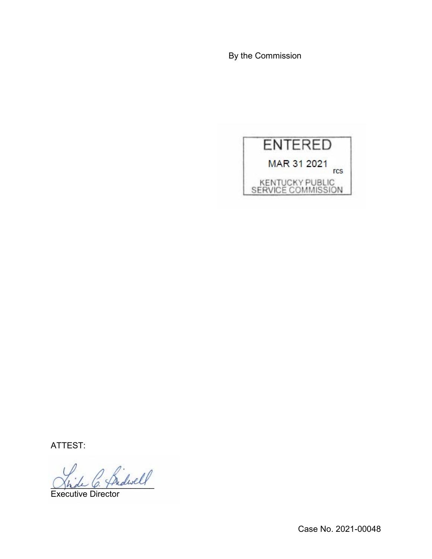By the Commission



ATTEST:

2 Sidwell

Executive Director

Case No. 2021-00048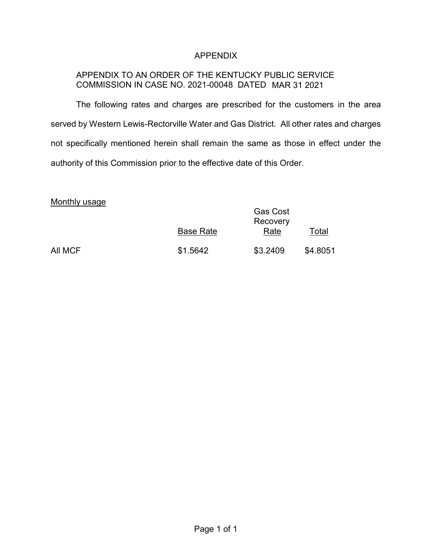# APPENDIX

# APPENDIX TO AN ORDER OF THE KENTUCKY PUBLIC SERVICE COMMISSION IN CASE NO. 2021-00048 DATED MAR 31 2021

The following rates and charges are prescribed for the customers in the area served by Western Lewis-Rectorville Water and Gas District. All other rates and charges not specifically mentioned herein shall remain the same as those in effect under the authority of this Commission prior to the effective date of this Order.

### Monthly usage

| $1110111111$ avage | <b>Base Rate</b> | <b>Gas Cost</b><br>Recovery<br>Rate | Total    |
|--------------------|------------------|-------------------------------------|----------|
| All MCF            | \$1.5642         | \$3.2409                            | \$4.8051 |